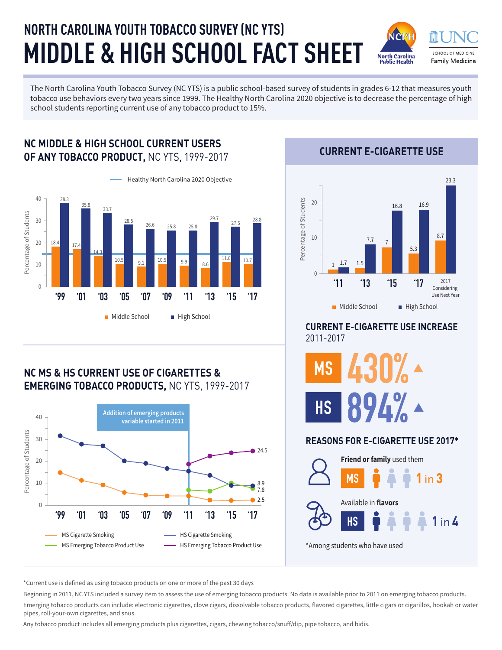# **MIDDLE & HIGH SCHOOL FACT SHEET NORTH CAROLINA YOUTH TOBACCO SURVEY (NC YTS)**

SCHOOL OF MEDICINE **North Carolina Family Medicine** Public Health

The North Carolina Youth Tobacco Survey (NC YTS) is a public school-based survey of students in grades 6-12 that measures youth tobacco use behaviors every two years since 1999. The Healthy North Carolina 2020 objective is to decrease the percentage of high school students reporting current use of any tobacco product to 15%.

#### Healthy North Carolina 2020 Objective 40 38.3 35.8 33.7 Percentage of Students Percentage of Students 29.7 30 27.5 28.8 28.5 26.6 25.8 25.8  $20$  $18.4$  17.4 14.3  $11.6$  10.7  $\begin{array}{|c|c|c|c|c|c|}\hline 10.5 & 9.9 & 8.6 \ \hline \end{array}$ 10  $\theta$ **'99 '01 '03 '05 '07 '09 '11 '13 '15 '17** Middle School High School

**NC MIDDLE & HIGH SCHOOL CURRENT USERS** 

## **NC MS & HS CURRENT USE OF CIGARETTES & EMERGING TOBACCO PRODUCTS,** NC YTS, 1999-2017



**OF ANY TOBACCO PRODUCT,** NC YTS, 1999-2017 **CURRENT E-CIGARETTE USE**



### **CURRENT E-CIGARETTE USE INCREASE**  2011-2017



#### **REASONS FOR E-CIGARETTE USE 2017\***



\*Current use is defined as using tobacco products on one or more of the past 30 days

Beginning in 2011, NC YTS included a survey item to assess the use of emerging tobacco products. No data is available prior to 2011 on emerging tobacco products. Emerging tobacco products can include: electronic cigarettes, clove cigars, dissolvable tobacco products, flavored cigarettes, little cigars or cigarillos, hookah or water pipes, roll-your-own cigarettes, and snus.

Any tobacco product includes all emerging products plus cigarettes, cigars, chewing tobacco/snuff/dip, pipe tobacco, and bidis.